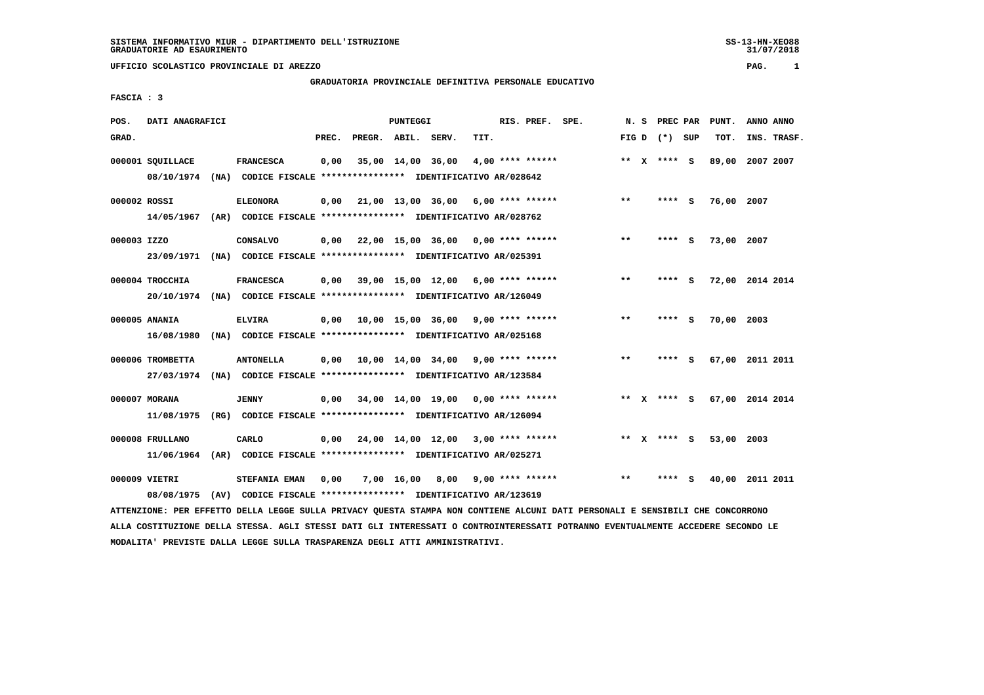**UFFICIO SCOLASTICO PROVINCIALE DI AREZZO PAG. 1**

## **GRADUATORIA PROVINCIALE DEFINITIVA PERSONALE EDUCATIVO**

 **FASCIA : 3**

| POS.         | DATI ANAGRAFICI  |  |                                                                         |       |                    | PUNTEGGI          |                                            |      | RIS. PREF.<br>SPE. |                    |  |       | N. S | PREC PAR        |     | PUNT.           | ANNO ANNO |             |
|--------------|------------------|--|-------------------------------------------------------------------------|-------|--------------------|-------------------|--------------------------------------------|------|--------------------|--------------------|--|-------|------|-----------------|-----|-----------------|-----------|-------------|
| GRAD.        |                  |  |                                                                         | PREC. | PREGR. ABIL. SERV. |                   |                                            | TIT. |                    |                    |  |       |      | FIG D $(*)$ SUP |     | TOT.            |           | INS. TRASF. |
|              | 000001 SQUILLACE |  | <b>FRANCESCA</b>                                                        | 0,00  |                    | 35,00 14,00 36,00 |                                            |      |                    | $4,00$ **** ****** |  |       |      | ** $X$ **** S   |     | 89,00           | 2007 2007 |             |
|              | 08/10/1974       |  | (NA) CODICE FISCALE **************** IDENTIFICATIVO AR/028642           |       |                    |                   |                                            |      |                    |                    |  |       |      |                 |     |                 |           |             |
| 000002 ROSSI |                  |  | <b>ELEONORA</b>                                                         | 0,00  |                    |                   | 21,00 13,00 36,00 6,00 **** ******         |      |                    |                    |  | $* *$ |      | **** S          |     | 76,00 2007      |           |             |
|              | 14/05/1967       |  | (AR) CODICE FISCALE **************** IDENTIFICATIVO AR/028762           |       |                    |                   |                                            |      |                    |                    |  |       |      |                 |     |                 |           |             |
| 000003 IZZO  |                  |  | CONSALVO                                                                | 0,00  |                    |                   | 22,00 15,00 36,00 0,00 **** ******         |      |                    |                    |  | $* *$ |      | ****            | s   | 73,00 2007      |           |             |
|              | 23/09/1971       |  | (NA) CODICE FISCALE *************** IDENTIFICATIVO AR/025391            |       |                    |                   |                                            |      |                    |                    |  |       |      |                 |     |                 |           |             |
|              | 000004 TROCCHIA  |  | <b>FRANCESCA</b>                                                        | 0,00  |                    |                   | 39,00 15,00 12,00 6,00 **** ******         |      |                    |                    |  | $***$ |      | **** S          |     | 72,00 2014 2014 |           |             |
|              |                  |  | 20/10/1974 (NA) CODICE FISCALE *************** IDENTIFICATIVO AR/126049 |       |                    |                   |                                            |      |                    |                    |  |       |      |                 |     |                 |           |             |
|              | 000005 ANANIA    |  | <b>ELVIRA</b>                                                           | 0,00  |                    |                   | 10,00 15,00 36,00 9,00 **** ******         |      |                    |                    |  | $***$ |      | ****            | - S | 70,00 2003      |           |             |
|              | 16/08/1980       |  | (NA) CODICE FISCALE **************** IDENTIFICATIVO AR/025168           |       |                    |                   |                                            |      |                    |                    |  |       |      |                 |     |                 |           |             |
|              | 000006 TROMBETTA |  | <b>ANTONELLA</b>                                                        | 0.00  |                    |                   | 10,00 14,00 34,00 9,00 **** ******         |      |                    |                    |  | $***$ |      | ****            | - 5 | 67,00 2011 2011 |           |             |
|              | 27/03/1974       |  | (NA) CODICE FISCALE **************** IDENTIFICATIVO AR/123584           |       |                    |                   |                                            |      |                    |                    |  |       |      |                 |     |                 |           |             |
|              | 000007 MORANA    |  | <b>JENNY</b>                                                            | 0,00  |                    |                   | 34,00 14,00 19,00 0,00 **** ******         |      |                    |                    |  |       |      | ** X **** S     |     | 67,00 2014 2014 |           |             |
|              | 11/08/1975       |  | (RG) CODICE FISCALE **************** IDENTIFICATIVO AR/126094           |       |                    |                   |                                            |      |                    |                    |  |       |      |                 |     |                 |           |             |
|              | 000008 FRULLANO  |  | CARLO                                                                   | 0,00  |                    |                   | $24,00$ $14,00$ $12,00$ $3,00$ **** ****** |      |                    |                    |  | $* *$ | X.   | **** S          |     | 53,00           | 2003      |             |
|              | 11/06/1964       |  | (AR) CODICE FISCALE **************** IDENTIFICATIVO AR/025271           |       |                    |                   |                                            |      |                    |                    |  |       |      |                 |     |                 |           |             |
|              | 000009 VIETRI    |  | STEFANIA EMAN                                                           | 0,00  |                    | 7,00 16,00        | 8,00                                       |      |                    | $9,00$ **** ****** |  | $* *$ |      |                 | s   | 40,00           | 2011 2011 |             |
|              | 08/08/1975       |  | (AV) CODICE FISCALE **************** IDENTIFICATIVO AR/123619           |       |                    |                   |                                            |      |                    |                    |  |       |      |                 |     |                 |           |             |

 **ATTENZIONE: PER EFFETTO DELLA LEGGE SULLA PRIVACY QUESTA STAMPA NON CONTIENE ALCUNI DATI PERSONALI E SENSIBILI CHE CONCORRONO ALLA COSTITUZIONE DELLA STESSA. AGLI STESSI DATI GLI INTERESSATI O CONTROINTERESSATI POTRANNO EVENTUALMENTE ACCEDERE SECONDO LE MODALITA' PREVISTE DALLA LEGGE SULLA TRASPARENZA DEGLI ATTI AMMINISTRATIVI.**

SS-13-HN-XEO88<br>31/07/2018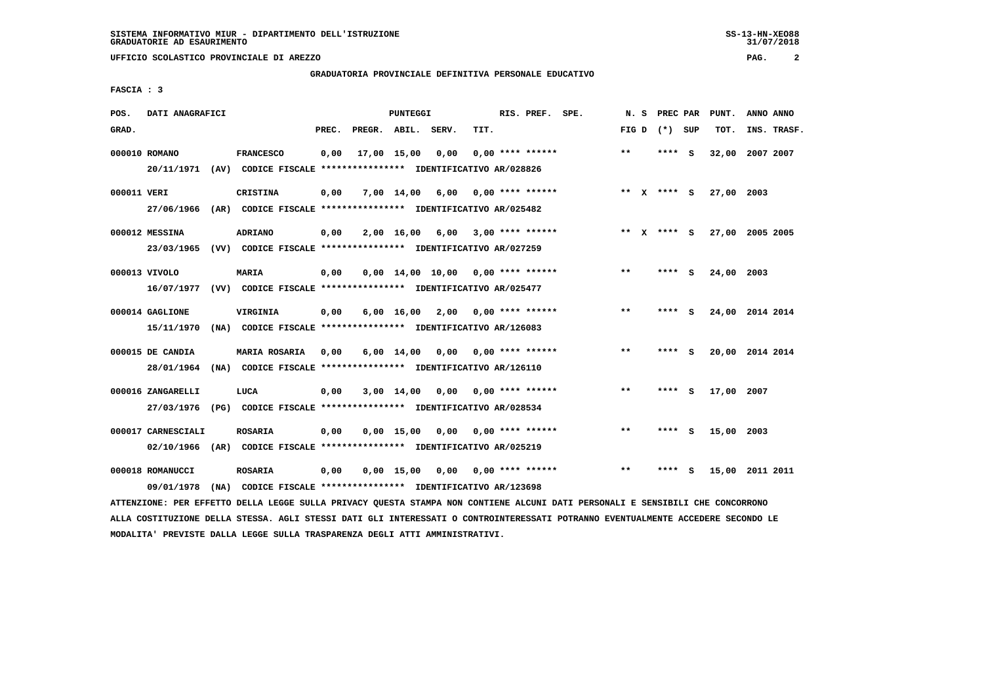**UFFICIO SCOLASTICO PROVINCIALE DI AREZZO PAG. 2**

## **GRADUATORIA PROVINCIALE DEFINITIVA PERSONALE EDUCATIVO**

 **FASCIA : 3**

| POS.        | DATI ANAGRAFICI    |      |                                                               |       |                    | <b>PUNTEGGI</b> |                                     |      | RIS. PREF. SPE.         | N.S   | PREC PAR        |     | PUNT.           | ANNO ANNO |             |
|-------------|--------------------|------|---------------------------------------------------------------|-------|--------------------|-----------------|-------------------------------------|------|-------------------------|-------|-----------------|-----|-----------------|-----------|-------------|
| GRAD.       |                    |      |                                                               | PREC. | PREGR. ABIL. SERV. |                 |                                     | TIT. |                         |       | FIG D $(*)$ SUP |     | TOT.            |           | INS. TRASF. |
|             | 000010 ROMANO      |      | <b>FRANCESCO</b>                                              | 0,00  |                    | 17,00 15,00     | 0,00                                |      | $0.00$ **** ******      | $* *$ | **** S          |     | 32,00           | 2007 2007 |             |
|             | 20/11/1971         |      | (AV) CODICE FISCALE **************** IDENTIFICATIVO AR/028826 |       |                    |                 |                                     |      |                         |       |                 |     |                 |           |             |
| 000011 VERI |                    |      | <b>CRISTINA</b>                                               | 0,00  |                    | 7,00 14,00      | 6,00                                |      | 0,00 **** ******        |       | ** x **** S     |     | 27,00 2003      |           |             |
|             | 27/06/1966         |      | (AR) CODICE FISCALE **************** IDENTIFICATIVO AR/025482 |       |                    |                 |                                     |      |                         |       |                 |     |                 |           |             |
|             | 000012 MESSINA     |      | ADRIANO                                                       | 0,00  |                    | 2,00 16,00      | 6,00                                |      | 3,00 **** ******        | ** X  | **** S          |     | 27,00 2005 2005 |           |             |
|             | 23/03/1965         |      | (VV) CODICE FISCALE **************** IDENTIFICATIVO AR/027259 |       |                    |                 |                                     |      |                         |       |                 |     |                 |           |             |
|             | 000013 VIVOLO      |      | <b>MARIA</b>                                                  | 0,00  |                    |                 | $0,00$ 14,00 10,00 0,00 **** ****** |      |                         | $* *$ | ****            | S.  | 24,00 2003      |           |             |
|             | 16/07/1977         |      | (VV) CODICE FISCALE **************** IDENTIFICATIVO AR/025477 |       |                    |                 |                                     |      |                         |       |                 |     |                 |           |             |
|             | 000014 GAGLIONE    |      | VIRGINIA                                                      | 0.00  |                    | 6,00 16,00      | $2,00$ 0,00 **** ******             |      |                         | $***$ | ****            | - S | 24,00 2014 2014 |           |             |
|             | 15/11/1970         |      | (NA) CODICE FISCALE **************** IDENTIFICATIVO AR/126083 |       |                    |                 |                                     |      |                         |       |                 |     |                 |           |             |
|             | 000015 DE CANDIA   |      | <b>MARIA ROSARIA</b>                                          | 0,00  |                    | $6,00$ 14,00    | 0,00                                |      | $0.00$ **** ******      | $* *$ | ****            | - S | 20,00 2014 2014 |           |             |
|             | 28/01/1964         |      | (NA) CODICE FISCALE **************** IDENTIFICATIVO AR/126110 |       |                    |                 |                                     |      |                         |       |                 |     |                 |           |             |
|             | 000016 ZANGARELLI  |      | LUCA                                                          | 0,00  |                    | 3,00 14,00      | 0,00                                |      | 0,00 **** ******        | $***$ | ****            | - 5 | 17,00 2007      |           |             |
|             | 27/03/1976         |      | (PG) CODICE FISCALE **************** IDENTIFICATIVO AR/028534 |       |                    |                 |                                     |      |                         |       |                 |     |                 |           |             |
|             | 000017 CARNESCIALI |      | <b>ROSARIA</b>                                                | 0,00  |                    | 0.00 15.00      | 0,00                                |      | 0,00 **** ******        | $* *$ | **** S          |     | 15,00 2003      |           |             |
|             | 02/10/1966         |      | (AR) CODICE FISCALE **************** IDENTIFICATIVO AR/025219 |       |                    |                 |                                     |      |                         |       |                 |     |                 |           |             |
|             | 000018 ROMANUCCI   |      | <b>ROSARIA</b>                                                | 0,00  |                    | $0,00$ 15,00    |                                     |      | $0,00$ 0,00 **** ****** | $***$ |                 | s   | 15,00 2011 2011 |           |             |
|             | 09/01/1978         | (NA) | CODICE FISCALE **************** IDENTIFICATIVO AR/123698      |       |                    |                 |                                     |      |                         |       |                 |     |                 |           |             |

 **ATTENZIONE: PER EFFETTO DELLA LEGGE SULLA PRIVACY QUESTA STAMPA NON CONTIENE ALCUNI DATI PERSONALI E SENSIBILI CHE CONCORRONO ALLA COSTITUZIONE DELLA STESSA. AGLI STESSI DATI GLI INTERESSATI O CONTROINTERESSATI POTRANNO EVENTUALMENTE ACCEDERE SECONDO LE MODALITA' PREVISTE DALLA LEGGE SULLA TRASPARENZA DEGLI ATTI AMMINISTRATIVI.**

 $31/07/2018$